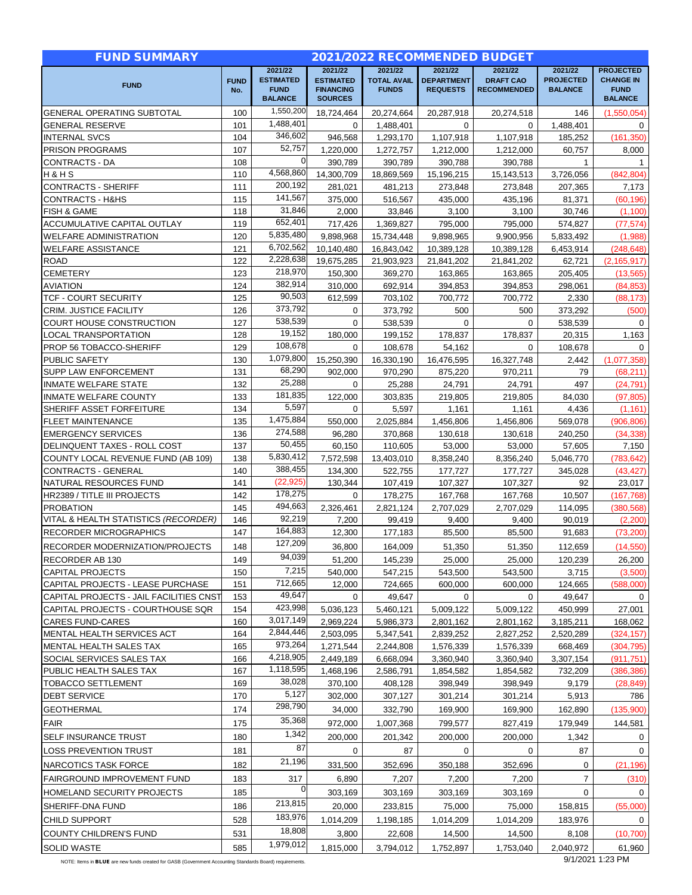| <b>FUND SUMMARY</b>                                                          |                    |                                                   |                                                        |                                    | 2021/2022 RECOMMENDED BUDGET         |                                        |                                    |                                                   |
|------------------------------------------------------------------------------|--------------------|---------------------------------------------------|--------------------------------------------------------|------------------------------------|--------------------------------------|----------------------------------------|------------------------------------|---------------------------------------------------|
|                                                                              |                    | 2021/22                                           | 2021/22                                                | 2021/22                            | 2021/22                              | 2021/22                                | 2021/22                            | <b>PROJECTED</b>                                  |
| <b>FUND</b>                                                                  | <b>FUND</b><br>No. | <b>ESTIMATED</b><br><b>FUND</b><br><b>BALANCE</b> | <b>ESTIMATED</b><br><b>FINANCING</b><br><b>SOURCES</b> | <b>TOTAL AVAIL</b><br><b>FUNDS</b> | <b>DEPARTMENT</b><br><b>REQUESTS</b> | <b>DRAFT CAO</b><br><b>RECOMMENDED</b> | <b>PROJECTED</b><br><b>BALANCE</b> | <b>CHANGE IN</b><br><b>FUND</b><br><b>BALANCE</b> |
| <b>GENERAL OPERATING SUBTOTAL</b>                                            | 100                | 1,550,200                                         | 18,724,464                                             | 20,274,664                         | 20,287,918                           | 20,274,518                             | 146                                | (1,550,054)                                       |
| <b>GENERAL RESERVE</b>                                                       | 101                | 1.488.401                                         | $\Omega$                                               | 1,488,401                          | $\Omega$                             | $\Omega$                               | 1.488.401                          | 0                                                 |
| <b>INTERNAL SVCS</b>                                                         | 104                | 346,602                                           | 946,568                                                | 1,293,170                          | 1,107,918                            | 1,107,918                              | 185,252                            | (161, 350)                                        |
| PRISON PROGRAMS                                                              | 107                | 52,757                                            | 1,220,000                                              | 1,272,757                          | 1,212,000                            | 1,212,000                              | 60,757                             | 8,000                                             |
| CONTRACTS - DA                                                               | 108                | $\overline{0}$                                    | 390,789                                                | 390,789                            | 390,788                              | 390.788                                | $\mathbf{1}$                       | $\mathbf{1}$                                      |
| H&HS                                                                         | 110                | 4.568.860                                         | 14,300,709                                             | 18,869,569                         | 15,196,215                           | 15,143,513                             | 3,726,056                          | (842, 804)                                        |
| <b>CONTRACTS - SHERIFF</b>                                                   | 111                | 200,192                                           | 281.021                                                | 481,213                            | 273,848                              | 273,848                                | 207,365                            | 7,173                                             |
| <b>CONTRACTS - H&amp;HS</b>                                                  | 115                | 141,567                                           | 375.000                                                | 516,567                            | 435,000                              | 435,196                                | 81,371                             | (60, 196)                                         |
| FISH & GAME                                                                  | 118                | 31,846                                            | 2,000                                                  | 33,846                             | 3,100                                | 3,100                                  | 30,746                             | (1,100)                                           |
| ACCUMULATIVE CAPITAL OUTLAY                                                  | 119                | 652,401                                           | 717,426                                                | 1,369,827                          | 795,000                              | 795,000                                | 574,827                            | (77, 574)                                         |
| <b>WELFARE ADMINISTRATION</b>                                                | 120                | 5,835,480                                         | 9,898,968                                              | 15,734,448                         | 9,898,965                            | 9,900,956                              | 5,833,492                          | (1,988)                                           |
| <b>WELFARE ASSISTANCE</b>                                                    | 121                | 6,702,562                                         | 10,140,480                                             | 16,843,042                         | 10,389,128                           | 10,389,128                             | 6,453,914                          | (248, 648)                                        |
| <b>ROAD</b>                                                                  | 122                | 2,228,638                                         | 19,675,285                                             | 21,903,923                         | 21,841,202                           | 21,841,202                             | 62,721                             | (2, 165, 917)                                     |
| <b>CEMETERY</b>                                                              | 123                | 218,970                                           | 150,300                                                | 369,270                            | 163,865                              | 163,865                                | 205,405                            | (13, 565)                                         |
| <b>AVIATION</b>                                                              | 124                | 382,914                                           | 310,000                                                | 692,914                            | 394.853                              | 394,853                                | 298.061                            | (84, 853)                                         |
| <b>TCF - COURT SECURITY</b>                                                  | 125                | 90,503                                            | 612,599                                                | 703,102                            | 700,772                              | 700,772                                | 2,330                              | (88, 173)                                         |
| <b>CRIM. JUSTICE FACILITY</b>                                                | 126                | 373,792                                           | 0                                                      | 373,792                            | 500                                  | 500                                    | 373,292                            | (500)                                             |
| <b>COURT HOUSE CONSTRUCTION</b>                                              | 127                | 538,539                                           | 0                                                      | 538,539                            | 0                                    | 0                                      | 538,539                            | $\mathbf{0}$                                      |
| <b>LOCAL TRANSPORTATION</b>                                                  | 128                | 19,152                                            | 180,000                                                | 199,152                            | 178.837                              | 178,837                                | 20,315                             | 1,163                                             |
| PROP 56 TOBACCO-SHERIFF                                                      | 129                | 108,678                                           | $\mathbf 0$                                            | 108,678                            | 54,162                               | 0                                      | 108,678                            | 0                                                 |
| PUBLIC SAFETY                                                                | 130                | 1,079,800                                         | 15,250,390                                             | 16,330,190                         | 16,476,595                           | 16,327,748                             | 2,442                              | (1,077,358)                                       |
| SUPP LAW ENFORCEMENT                                                         | 131                | 68,290                                            | 902,000                                                | 970.290                            | 875,220                              | 970,211                                | 79                                 | (68, 211)                                         |
| <b>INMATE WELFARE STATE</b>                                                  | 132                | 25,288                                            | 0                                                      | 25,288                             | 24,791                               | 24,791                                 | 497                                | (24, 791)                                         |
| INMATE WELFARE COUNTY                                                        | 133                | 181,835                                           | 122,000                                                | 303,835                            | 219,805                              | 219,805                                | 84,030                             | (97, 805)                                         |
| SHERIFF ASSET FORFEITURE                                                     | 134                | 5,597                                             | 0                                                      | 5,597                              | 1,161                                | 1,161                                  | 4,436                              | (1, 161)                                          |
| <b>FLEET MAINTENANCE</b>                                                     | 135                | 1,475,884<br>274,588                              | 550,000                                                | 2,025,884                          | 1,456,806                            | 1,456,806                              | 569,078                            | (906, 806)                                        |
| <b>EMERGENCY SERVICES</b>                                                    | 136                | 50,455                                            | 96,280                                                 | 370,868                            | 130,618                              | 130,618                                | 240,250                            | (34, 338)                                         |
| DELINQUENT TAXES - ROLL COST                                                 | 137                | 5,830,412                                         | 60,150                                                 | 110,605                            | 53,000                               | 53,000                                 | 57,605                             | 7,150                                             |
| COUNTY LOCAL REVENUE FUND (AB 109)                                           | 138                | 388,455                                           | 7,572,598                                              | 13,403,010                         | 8,358,240                            | 8,356,240                              | 5,046,770                          | (783, 642)                                        |
| <b>CONTRACTS - GENERAL</b>                                                   | 140                | (22, 925)                                         | 134,300                                                | 522,755                            | 177,727                              | 177,727                                | 345,028                            | (43, 427)                                         |
| NATURAL RESOURCES FUND<br>HR2389 / TITLE III PROJECTS                        | 141<br>142         | 178,275                                           | 130,344<br>0                                           | 107,419<br>178,275                 | 107,327<br>167,768                   | 107,327                                | 92<br>10,507                       | 23,017                                            |
| <b>PROBATION</b>                                                             | 145                | 494,663                                           | 2,326,461                                              | 2,821,124                          | 2,707,029                            | 167,768<br>2,707,029                   | 114,095                            | (167, 768)<br>(380, 568)                          |
| VITAL & HEALTH STATISTICS (RECORDER)                                         | 146                | 92,219                                            | 7,200                                                  | 99,419                             | 9,400                                | 9,400                                  | 90,019                             | (2,200)                                           |
| <b>RECORDER MICROGRAPHICS</b>                                                | 147                | 164,883                                           | 12,300                                                 | 177,183                            | 85,500                               | 85,500                                 | 91,683                             | (73,200)                                          |
| RECORDER MODERNIZATION/PROJECTS                                              | 148                | 127,209                                           | 36,800                                                 | 164,009                            | 51,350                               | 51,350                                 | 112,659                            | (14, 550)                                         |
|                                                                              |                    | 94,039                                            |                                                        |                                    |                                      |                                        |                                    |                                                   |
| RECORDER AB 130                                                              | 149                | 7,215                                             | 51,200<br>540,000                                      | 145,239                            | 25,000                               | 25,000                                 | 120,239                            | 26,200                                            |
| CAPITAL PROJECTS                                                             | 150<br>151         | 712,665                                           |                                                        | 547,215                            | 543,500                              | 543,500                                | 3,715                              | (3,500)                                           |
| CAPITAL PROJECTS - LEASE PURCHASE<br>CAPITAL PROJECTS - JAIL FACILITIES CNST | 153                | 49,647                                            | 12,000<br>0                                            | 724,665<br>49,647                  | 600,000<br>0                         | 600,000<br>0                           | 124,665<br>49,647                  | (588,000)<br>0                                    |
| CAPITAL PROJECTS - COURTHOUSE SQR                                            | 154                | 423,998                                           | 5,036,123                                              | 5,460,121                          | 5,009,122                            | 5,009,122                              | 450,999                            | 27,001                                            |
| <b>CARES FUND-CARES</b>                                                      | 160                | 3,017,149                                         | 2,969,224                                              | 5,986,373                          | 2,801,162                            | 2,801,162                              | 3,185,211                          | 168,062                                           |
| MENTAL HEALTH SERVICES ACT                                                   | 164                | 2,844,446                                         | 2,503,095                                              | 5,347,541                          | 2,839,252                            | 2,827,252                              | 2,520,289                          | (324, 157)                                        |
| MENTAL HEALTH SALES TAX                                                      | 165                | 973,264                                           | 1,271,544                                              | 2,244,808                          | 1,576,339                            | 1,576,339                              | 668,469                            | (304, 795)                                        |
| SOCIAL SERVICES SALES TAX                                                    | 166                | 4,218,905                                         | 2,449,189                                              | 6,668,094                          | 3,360,940                            | 3,360,940                              | 3,307,154                          | (911, 751)                                        |
| PUBLIC HEALTH SALES TAX                                                      | 167                | 1,118,595                                         | 1,468,196                                              | 2,586,791                          | 1,854,582                            | 1,854,582                              | 732,209                            | (386, 386)                                        |
| <b>TOBACCO SETTLEMENT</b>                                                    | 169                | 38,028                                            | 370,100                                                | 408,128                            | 398,949                              | 398,949                                | 9,179                              | (28, 849)                                         |
| <b>DEBT SERVICE</b>                                                          | 170                | 5,127                                             | 302,000                                                | 307,127                            | 301,214                              | 301,214                                | 5,913                              | 786                                               |
| <b>GEOTHERMAL</b>                                                            | 174                | 298,790                                           | 34,000                                                 | 332,790                            | 169,900                              | 169,900                                | 162,890                            | (135,900)                                         |
| <b>FAIR</b>                                                                  |                    | 35,368                                            | 972,000                                                | 1,007,368                          |                                      |                                        | 179,949                            | 144,581                                           |
|                                                                              | 175                | 1,342                                             |                                                        |                                    | 799,577                              | 827,419                                |                                    |                                                   |
| SELF INSURANCE TRUST                                                         | 180                | 87                                                | 200,000                                                | 201,342                            | 200,000                              | 200,000                                | 1,342                              | $\overline{0}$                                    |
| <b>LOSS PREVENTION TRUST</b>                                                 | 181                | 21,196                                            | 0                                                      | 87                                 | 0                                    | 0                                      | 87                                 | 0                                                 |
| NARCOTICS TASK FORCE                                                         | 182                |                                                   | 331,500                                                | 352,696                            | 350,188                              | 352,696                                | 0                                  | (21, 196)                                         |
| FAIRGROUND IMPROVEMENT FUND                                                  | 183                | 317                                               | 6,890                                                  | 7,207                              | 7,200                                | 7,200                                  | $\overline{7}$                     | (310)                                             |
| HOMELAND SECURITY PROJECTS                                                   | 185                | 0                                                 | 303,169                                                | 303,169                            | 303,169                              | 303,169                                | 0                                  | $\mathbf{0}$                                      |
| SHERIFF-DNA FUND                                                             | 186                | 213,815                                           | 20,000                                                 | 233,815                            | 75,000                               | 75,000                                 | 158,815                            | (55,000)                                          |
| <b>CHILD SUPPORT</b>                                                         | 528                | 183,976                                           | 1,014,209                                              | 1,198,185                          | 1,014,209                            | 1,014,209                              | 183,976                            | $\mathbf{0}$                                      |
| COUNTY CHILDREN'S FUND                                                       | 531                | 18,808                                            | 3,800                                                  | 22,608                             | 14,500                               | 14,500                                 | 8,108                              | (10, 700)                                         |
| <b>SOLID WASTE</b>                                                           | 585                | 1,979,012                                         | 1,815,000                                              | 3,794,012                          | 1,752,897                            | 1,753,040                              | 2,040,972                          | 61,960                                            |

NOTE: Items in BLUE are new funds created for GASB (Government Accounting Standards Board) requirements. 9/1/2021 1:23 PM